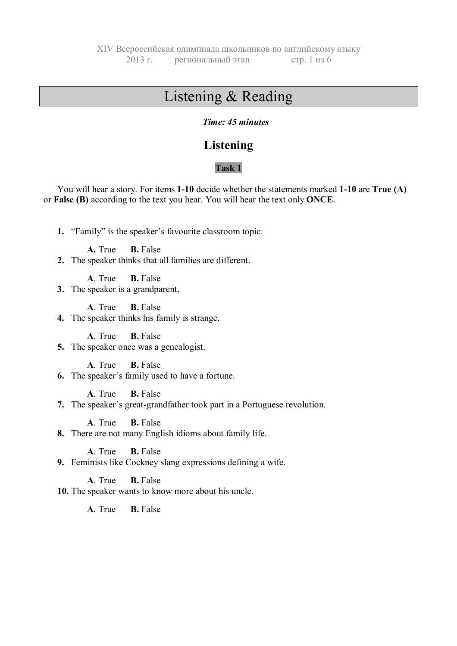# Listening & Reading

#### *Time: 45 minutes*

## **Listening**

#### **Task 1**

You will hear a story. For items **1-10** decide whether the statements marked **1-10** are **True (A)** or **False (B)** according to the text you hear. You will hear the text only **ONCE**.

**1.** "Family" is the speaker's favourite classroom topic.

**A.** True **B.** False

**2.** The speaker thinks that all families are different.

**A**. True **B.** False

**3.** The speaker is a grandparent.

**A**. True **B.** False

**4.** The speaker thinks his family is strange.

**A**. True **B.** False **5.** The speaker once was a genealogist.

**A**. True **B.** False

**6.** The speaker's family used to have a fortune.

**A**. True **B.** False

**7.** The speaker's great-grandfather took part in a Portuguese revolution.

**A**. True **B.** False

**8.** There are not many English idioms about family life.

**A**. True **B.** False

**9.** Feminists like Cockney slang expressions defining a wife.

**A**. True **B.** False

**10.** The speaker wants to know more about his uncle.

**A**. True **B.** False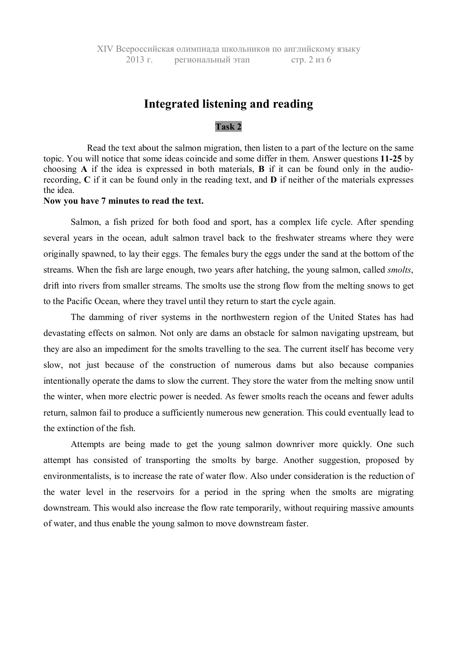## **Integrated listening and reading**

#### **Task 2**

Read the text about the salmon migration, then listen to a part of the lecture on the same topic. You will notice that some ideas coincide and some differ in them. Answer questions **11-25** by choosing **A** if the idea is expressed in both materials, **B** if it can be found only in the audiorecording, **C** if it can be found only in the reading text, and **D** if neither of the materials expresses the idea.

#### **Now you have 7 minutes to read the text.**

Salmon, a fish prized for both food and sport, has a complex life cycle. After spending several years in the ocean, adult salmon travel back to the freshwater streams where they were originally spawned, to lay their eggs. The females bury the eggs under the sand at the bottom of the streams. When the fish are large enough, two years after hatching, the young salmon, called *smolts*, drift into rivers from smaller streams. The smolts use the strong flow from the melting snows to get to the Pacific Ocean, where they travel until they return to start the cycle again.

The damming of river systems in the northwestern region of the United States has had devastating effects on salmon. Not only are dams an obstacle for salmon navigating upstream, but they are also an impediment for the smolts travelling to the sea. The current itself has become very slow, not just because of the construction of numerous dams but also because companies intentionally operate the dams to slow the current. They store the water from the melting snow until the winter, when more electric power is needed. As fewer smolts reach the oceans and fewer adults return, salmon fail to produce a sufficiently numerous new generation. This could eventually lead to the extinction of the fish.

Attempts are being made to get the young salmon downriver more quickly. One such attempt has consisted of transporting the smolts by barge. Another suggestion, proposed by environmentalists, is to increase the rate of water flow. Also under consideration is the reduction of the water level in the reservoirs for a period in the spring when the smolts are migrating downstream. This would also increase the flow rate temporarily, without requiring massive amounts of water, and thus enable the young salmon to move downstream faster.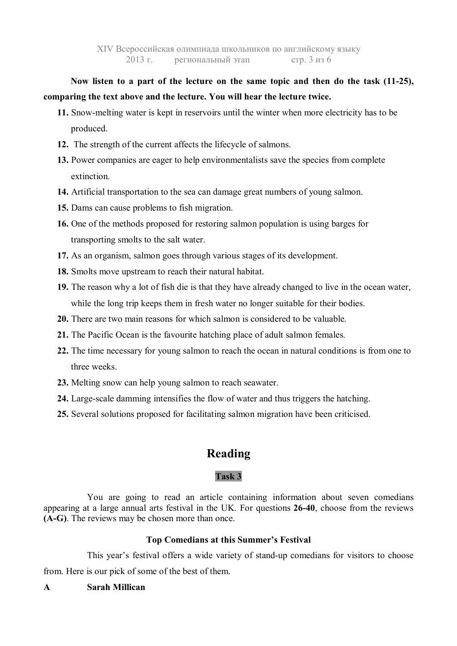**Now listen to a part of the lecture on the same topic and then do the task (11-25), comparing the text above and the lecture. You will hear the lecture twice.**

- **11.** Snow-melting water is kept in reservoirs until the winter when more electricity has to be produced.
- **12.** The strength of the current affects the lifecycle of salmons.
- **13.** Power companies are eager to help environmentalists save the species from complete extinction.
- **14.** Artificial transportation to the sea can damage great numbers of young salmon.
- **15.** Dams can cause problems to fish migration.
- **16.** One of the methods proposed for restoring salmon population is using barges for transporting smolts to the salt water.
- **17.** As an organism, salmon goes through various stages of its development.
- **18.** Smolts move upstream to reach their natural habitat.
- **19.** The reason why a lot of fish die is that they have already changed to live in the ocean water, while the long trip keeps them in fresh water no longer suitable for their bodies.
- **20.** There are two main reasons for which salmon is considered to be valuable.
- **21.** The Pacific Ocean is the favourite hatching place of adult salmon females.
- **22.** The time necessary for young salmon to reach the ocean in natural conditions is from one to three weeks.
- **23.** Melting snow can help young salmon to reach seawater.
- **24.** Large-scale damming intensifies the flow of water and thus triggers the hatching.
- **25.** Several solutions proposed for facilitating salmon migration have been criticised.

# **Reading**

### **Task 3**

You are going to read an article containing information about seven comedians appearing at a large annual arts festival in the UK. For questions **26-40**, choose from the reviews **(A-G)**. The reviews may be chosen more than once.

#### **Top Comedians at this Summer's Festival**

This year's festival offers a wide variety of stand-up comedians for visitors to choose from. Here is our pick of some of the best of them.

### **A Sarah Millican**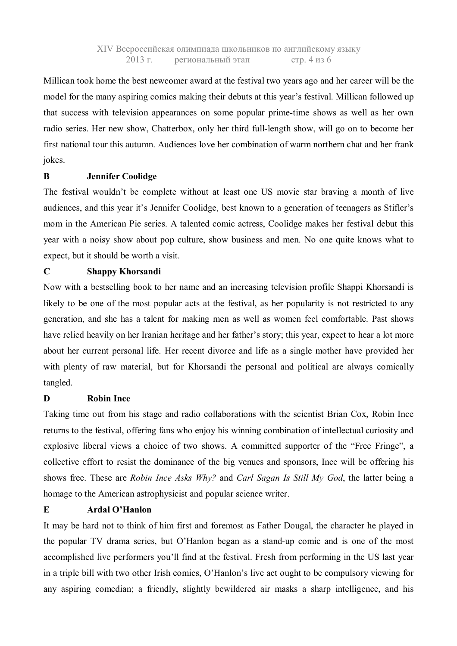# Millican took home the best newcomer award at the festival two years ago and her career will be the model for the many aspiring comics making their debuts at this year's festival. Millican followed up that success with television appearances on some popular prime-time shows as well as her own radio series. Her new show, Chatterbox, only her third full-length show, will go on to become her first national tour this autumn. Audiences love her combination of warm northern chat and her frank jokes.

#### **B Jennifer Coolidge**

The festival wouldn't be complete without at least one US movie star braving a month of live audiences, and this year it's Jennifer Coolidge, best known to a generation of teenagers as Stifler's mom in the American Pie series. A talented comic actress, Coolidge makes her festival debut this year with a noisy show about pop culture, show business and men. No one quite knows what to expect, but it should be worth a visit.

#### **C Shappy Khorsandi**

Now with a bestselling book to her name and an increasing television profile Shappi Khorsandi is likely to be one of the most popular acts at the festival, as her popularity is not restricted to any generation, and she has a talent for making men as well as women feel comfortable. Past shows have relied heavily on her Iranian heritage and her father's story; this year, expect to hear a lot more about her current personal life. Her recent divorce and life as a single mother have provided her with plenty of raw material, but for Khorsandi the personal and political are always comically tangled.

#### **D Robin Ince**

Taking time out from his stage and radio collaborations with the scientist Brian Cox, Robin Ince returns to the festival, offering fans who enjoy his winning combination of intellectual curiosity and explosive liberal views a choice of two shows. A committed supporter of the "Free Fringe", a collective effort to resist the dominance of the big venues and sponsors, Ince will be offering his shows free. These are *Robin Ince Asks Why?* and *Carl Sagan Is Still My God*, the latter being a homage to the American astrophysicist and popular science writer.

#### **E Ardal O'Hanlon**

It may be hard not to think of him first and foremost as Father Dougal, the character he played in the popular TV drama series, but O'Hanlon began as a stand-up comic and is one of the most accomplished live performers you'll find at the festival. Fresh from performing in the US last year in a triple bill with two other Irish comics, O'Hanlon's live act ought to be compulsory viewing for any aspiring comedian; a friendly, slightly bewildered air masks a sharp intelligence, and his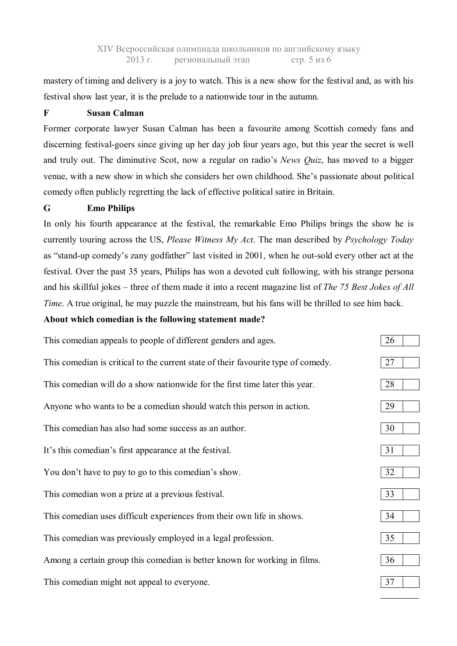mastery of timing and delivery is a joy to watch. This is a new show for the festival and, as with his festival show last year, it is the prelude to a nationwide tour in the autumn.

#### **F Susan Calman**

Former corporate lawyer Susan Calman has been a favourite among Scottish comedy fans and discerning festival-goers since giving up her day job four years ago, but this year the secret is well and truly out. The diminutive Scot, now a regular on radio's *News Quiz*, has moved to a bigger venue, with a new show in which she considers her own childhood. She's passionate about political comedy often publicly regretting the lack of effective political satire in Britain.

#### **G Emo Philips**

In only his fourth appearance at the festival, the remarkable Emo Philips brings the show he is currently touring across the US, *Please Witness My Act*. The man described by *Psychology Today* as "stand-up comedy's zany godfather" last visited in 2001, when he out-sold every other act at the festival. Over the past 35 years, Philips has won a devoted cult following, with his strange persona and his skillful jokes – three of them made it into a recent magazine list of *The 75 Best Jokes of All Time*. A true original, he may puzzle the mainstream, but his fans will be thrilled to see him back.

#### **About which comedian is the following statement made?**

| This comedian appeals to people of different genders and ages.                    | 26 |
|-----------------------------------------------------------------------------------|----|
| This comedian is critical to the current state of their favourite type of comedy. | 27 |
| This comedian will do a show nationwide for the first time later this year.       | 28 |
| Anyone who wants to be a comedian should watch this person in action.             | 29 |
| This comedian has also had some success as an author.                             | 30 |
| It's this comedian's first appearance at the festival.                            | 31 |
| You don't have to pay to go to this comedian's show.                              | 32 |
| This comedian won a prize at a previous festival.                                 | 33 |
| This comedian uses difficult experiences from their own life in shows.            | 34 |
| This comedian was previously employed in a legal profession.                      | 35 |
| Among a certain group this comedian is better known for working in films.         | 36 |
| This comedian might not appeal to everyone.                                       | 37 |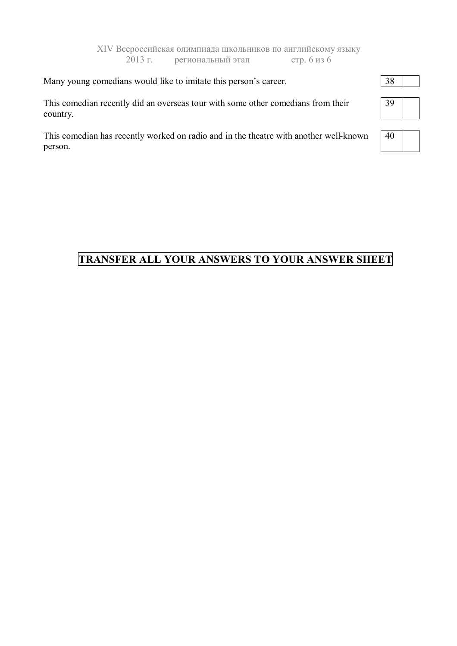|  | Many young comedians would like to imitate this person's career. | 38 |
|--|------------------------------------------------------------------|----|
|  |                                                                  |    |

This comedian recently did an overseas tour with some other comedians from their country.

This comedian has recently worked on radio and in the theatre with another well-known person.

# **TRANSFER ALL YOUR ANSWERS TO YOUR ANSWER SHEET**



| H |  |
|---|--|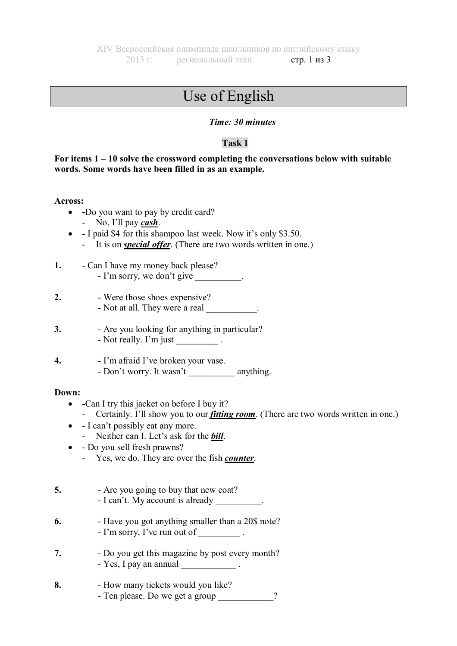#### XIV Всероссийская олимпиада школьников по английскому языку 2013 г. региональный этап стр. 1 из 3

# Use of English

#### *Time: 30 minutes*

#### **Task 1**

#### **For items 1 – 10 solve the crossword completing the conversations below with suitable words. Some words have been filled in as an example.**

**Across:**

- **-**Do you want to pay by credit card?
	- No, I'll pay *cash*.
- I paid \$4 for this shampoo last week. Now it's only \$3.50.
	- It is on *special offer*. (There are two words written in one.)
- **1.** Can I have my money back please? - I'm sorry, we don't give
- **2.** Were those shoes expensive? - Not at all. They were a real
- **3.** Are you looking for anything in particular? - Not really. I'm just  $\frac{1}{\sqrt{2\pi}}$ .
- **4.** I'm afraid I've broken your vase. - Don't worry. It wasn't \_\_\_\_\_\_\_\_\_\_ anything.

#### **Down:**

- **-**Can I try this jacket on before I buy it?
	- Certainly. I'll show you to our *fitting room*. (There are two words written in one.)
- I can't possibly eat any more.
	- Neither can I. Let's ask for the *bill*.
- Do you sell fresh prawns?
	- Yes, we do. They are over the fish *counter*.
- **5.** Are you going to buy that new coat? - I can't. My account is already
- **6.** Have you got anything smaller than a 20\$ note? - I'm sorry, I've run out of  $\blacksquare$
- **7.** Do you get this magazine by post every month? - Yes, I pay an annual
- **8.** How many tickets would you like? - Ten please. Do we get a group  $\gamma$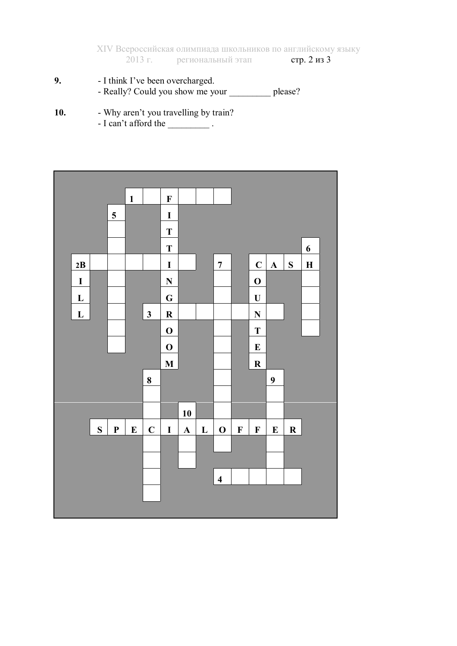XIV Всероссийская олимпиада школьников по английскому языку  $2013$  г. региональный этап стр. 2 из 3

- **9.** I think I've been overcharged. - Really? Could you show me your \_\_\_\_\_\_\_\_\_\_\_ please?
- 10. Why aren't you travelling by train?
	- $-$  I can't afford the  $\_\_\_\_\_\_\_\_\$ .

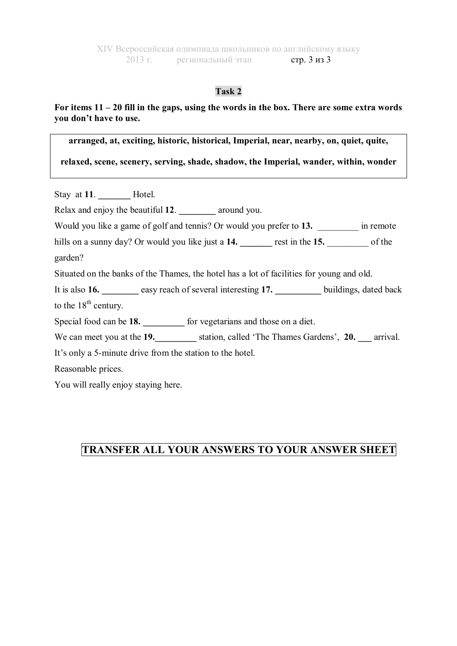#### **Task 2**

#### **For items 11 – 20 fill in the gaps, using the words in the box. There are some extra words you don't have to use.**

**arranged, at, exciting, historic, historical, Imperial, near, nearby, on, quiet, quite,** 

**relaxed, scene, scenery, serving, shade, shadow, the Imperial, wander, within, wonder**

Stay at 11. **Hotel.** Relax and enjoy the beautiful **12**. **\_\_\_\_\_\_\_\_** around you. Would you like a game of golf and tennis? Or would you prefer to 13. **a** in remote hills on a sunny day? Or would you like just a **14. \_\_\_\_\_\_\_** rest in the **15.** \_\_\_\_\_\_\_\_\_ of the garden? Situated on the banks of the Thames, the hotel has a lot of facilities for young and old. It is also **16. easy reach of several interesting 17. buildings**, dated back to the  $18<sup>th</sup>$  century. Special food can be **18. \_\_\_\_\_\_\_\_\_** for vegetarians and those on a diet. We can meet you at the **19.\_\_\_\_\_\_\_\_\_** station, called 'The Thames Gardens', **20. \_\_\_** arrival. It's only a 5-minute drive from the station to the hotel. Reasonable prices. You will really enjoy staying here.

## **TRANSFER ALL YOUR ANSWERS TO YOUR ANSWER SHEET**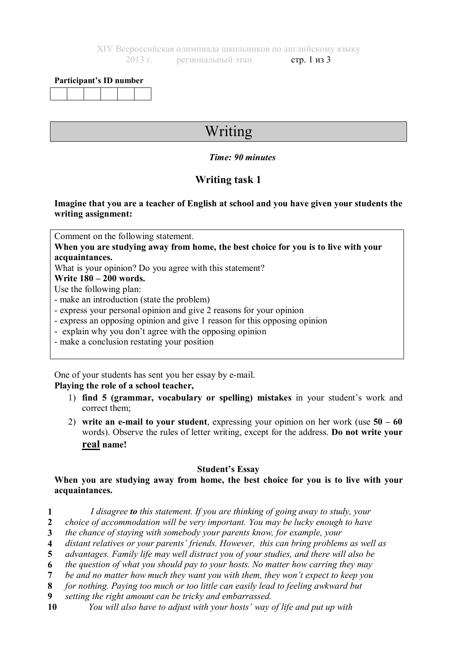#### **Participant's ID number**

# Writing

#### *Time: 90 minutes*

## **Writing task 1**

#### **Imagine that you are a teacher of English at school and you have given your students the writing assignment:**

Comment on the following statement.

**When you are studying away from home, the best choice for you is to live with your acquaintances.**

What is your opinion? Do you agree with this statement?

**Write 180 – 200 words.**

Use the following plan:

- make an introduction (state the problem)
- express your personal opinion and give 2 reasons for your opinion
- express an opposing opinion and give 1 reason for this opposing opinion
- explain why you don't agree with the opposing opinion
- make a conclusion restating your position

One of your students has sent you her essay by e-mail.

#### **Playing the role of a school teacher,**

- 1) **find 5 (grammar, vocabulary or spelling) mistakes** in your student's work and correct them;
- 2) **write an e-mail to your student**, expressing your opinion on her work (use **50 – 60** words). Observe the rules of letter writing, except for the address. **Do not write your real name!**

#### **Student's Essay**

#### **When you are studying away from home, the best choice for you is to live with your acquaintances.**

- **1** *I disagree to this statement. If you are thinking of going away to study, your*
- *choice of accommodation will be very important. You may be lucky enough to have* **2**
- *the chance of staying with somebody your parents know, for example, your*  **3**
- *distant relatives or your parents' friends. However, this can bring problems as well as* **4**
- *advantages. Family life may well distract you of your studies, and there will also be* **5**
- *the question of what you should pay to your hosts. No matter how carring they may* **6**
- *be and no matter how much they want you with them, they won't expect to keep you* **7**
- *for nothing. Paying too much or too little can easily lead to feeling awkward but* **8**
- *setting the right amount can be tricky and embarrassed.* **9**
- *You will also have to adjust with your hosts' way of life and put up with* **10**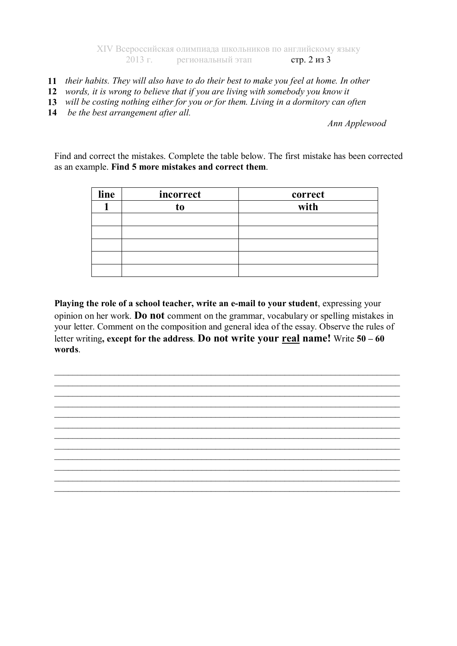XIV Всероссийская олимпиада школьников по английскому языку 2013 г. региональный этап стр. 2 из 3

- **11** *their habits. They will also have to do their best to make you feel at home. In other*
- *words, it is wrong to believe that if you are living with somebody you know it*  **12**
- *will be costing nothing either for you or for them. Living in a dormitory can often* **13**
- *be the best arrangement after all.* **14**

*Ann Applewood*

Find and correct the mistakes. Complete the table below. The first mistake has been corrected as an example. **Find 5 more mistakes and correct them**.

| line | incorrect | correct |
|------|-----------|---------|
|      | to        | with    |
|      |           |         |
|      |           |         |
|      |           |         |
|      |           |         |
|      |           |         |

**Playing the role of a school teacher, write an e-mail to your student**, expressing your opinion on her work. **Do not** comment on the grammar, vocabulary or spelling mistakes in your letter. Comment on the composition and general idea of the essay. Observe the rules of letter writing**, except for the address**. **Do not write your real name!** Write **50 – 60 words**.